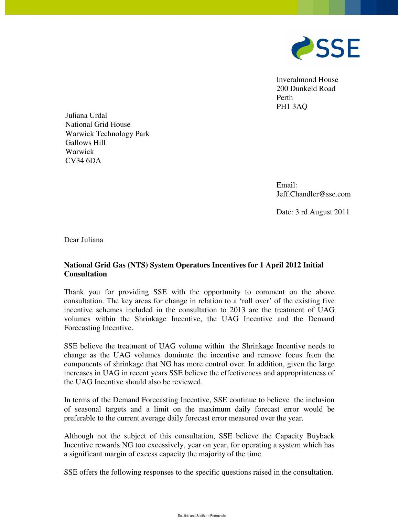

Inveralmond House 200 Dunkeld Road Perth PH1 3AQ

National Grid House Warwick Technology Park Gallows Hill Warwick CV34 6DA

> Email: Jeff.Chandler@sse.com

Date: 3 rd August 2011

Dear Juliana

Juliana Urdal

# **National Grid Gas (NTS) System Operators Incentives for 1 April 2012 Initial Consultation**

Thank you for providing SSE with the opportunity to comment on the above consultation. The key areas for change in relation to a 'roll over' of the existing five incentive schemes included in the consultation to 2013 are the treatment of UAG volumes within the Shrinkage Incentive, the UAG Incentive and the Demand Forecasting Incentive.

SSE believe the treatment of UAG volume within the Shrinkage Incentive needs to change as the UAG volumes dominate the incentive and remove focus from the components of shrinkage that NG has more control over. In addition, given the large increases in UAG in recent years SSE believe the effectiveness and appropriateness of the UAG Incentive should also be reviewed.

In terms of the Demand Forecasting Incentive, SSE continue to believe the inclusion of seasonal targets and a limit on the maximum daily forecast error would be preferable to the current average daily forecast error measured over the year.

Although not the subject of this consultation, SSE believe the Capacity Buyback Incentive rewards NG too excessively, year on year, for operating a system which has a significant margin of excess capacity the majority of the time.

SSE offers the following responses to the specific questions raised in the consultation.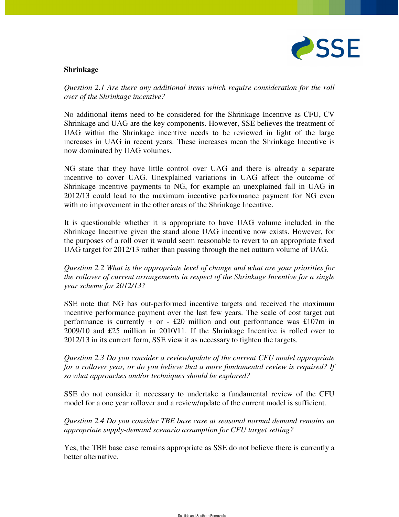

## **Shrinkage**

*Question 2.1 Are there any additional items which require consideration for the roll over of the Shrinkage incentive?* 

No additional items need to be considered for the Shrinkage Incentive as CFU, CV Shrinkage and UAG are the key components. However, SSE believes the treatment of UAG within the Shrinkage incentive needs to be reviewed in light of the large increases in UAG in recent years. These increases mean the Shrinkage Incentive is now dominated by UAG volumes.

NG state that they have little control over UAG and there is already a separate incentive to cover UAG. Unexplained variations in UAG affect the outcome of Shrinkage incentive payments to NG, for example an unexplained fall in UAG in 2012/13 could lead to the maximum incentive performance payment for NG even with no improvement in the other areas of the Shrinkage Incentive.

It is questionable whether it is appropriate to have UAG volume included in the Shrinkage Incentive given the stand alone UAG incentive now exists. However, for the purposes of a roll over it would seem reasonable to revert to an appropriate fixed UAG target for 2012/13 rather than passing through the net outturn volume of UAG.

*Question 2.2 What is the appropriate level of change and what are your priorities for the rollover of current arrangements in respect of the Shrinkage Incentive for a single year scheme for 2012/13?* 

SSE note that NG has out-performed incentive targets and received the maximum incentive performance payment over the last few years. The scale of cost target out performance is currently  $+$  or  $-$  £20 million and out performance was £107m in 2009/10 and £25 million in 2010/11. If the Shrinkage Incentive is rolled over to 2012/13 in its current form, SSE view it as necessary to tighten the targets.

*Question 2.3 Do you consider a review/update of the current CFU model appropriate for a rollover year, or do you believe that a more fundamental review is required? If so what approaches and/or techniques should be explored?* 

SSE do not consider it necessary to undertake a fundamental review of the CFU model for a one year rollover and a review/update of the current model is sufficient.

*Question 2.4 Do you consider TBE base case at seasonal normal demand remains an appropriate supply-demand scenario assumption for CFU target setting?* 

Yes, the TBE base case remains appropriate as SSE do not believe there is currently a better alternative.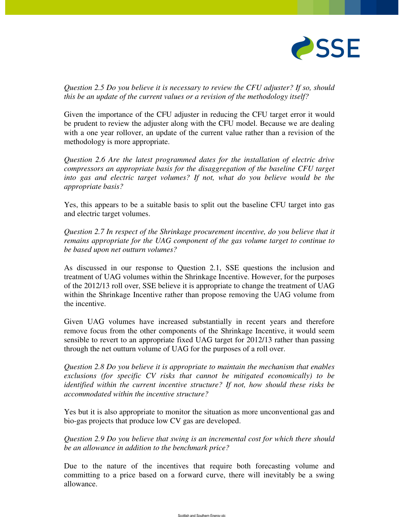

*Question 2.5 Do you believe it is necessary to review the CFU adjuster? If so, should this be an update of the current values or a revision of the methodology itself?* 

Given the importance of the CFU adjuster in reducing the CFU target error it would be prudent to review the adjuster along with the CFU model. Because we are dealing with a one year rollover, an update of the current value rather than a revision of the methodology is more appropriate.

*Question 2.6 Are the latest programmed dates for the installation of electric drive compressors an appropriate basis for the disaggregation of the baseline CFU target*  into gas and electric target volumes? If not, what do you believe would be the *appropriate basis?* 

Yes, this appears to be a suitable basis to split out the baseline CFU target into gas and electric target volumes.

*Question 2.7 In respect of the Shrinkage procurement incentive, do you believe that it remains appropriate for the UAG component of the gas volume target to continue to be based upon net outturn volumes?* 

As discussed in our response to Question 2.1, SSE questions the inclusion and treatment of UAG volumes within the Shrinkage Incentive. However, for the purposes of the 2012/13 roll over, SSE believe it is appropriate to change the treatment of UAG within the Shrinkage Incentive rather than propose removing the UAG volume from the incentive.

Given UAG volumes have increased substantially in recent years and therefore remove focus from the other components of the Shrinkage Incentive, it would seem sensible to revert to an appropriate fixed UAG target for 2012/13 rather than passing through the net outturn volume of UAG for the purposes of a roll over.

*Question 2.8 Do you believe it is appropriate to maintain the mechanism that enables exclusions (for specific CV risks that cannot be mitigated economically) to be identified within the current incentive structure? If not, how should these risks be accommodated within the incentive structure?* 

Yes but it is also appropriate to monitor the situation as more unconventional gas and bio-gas projects that produce low CV gas are developed.

*Question 2.9 Do you believe that swing is an incremental cost for which there should be an allowance in addition to the benchmark price?* 

Due to the nature of the incentives that require both forecasting volume and committing to a price based on a forward curve, there will inevitably be a swing allowance.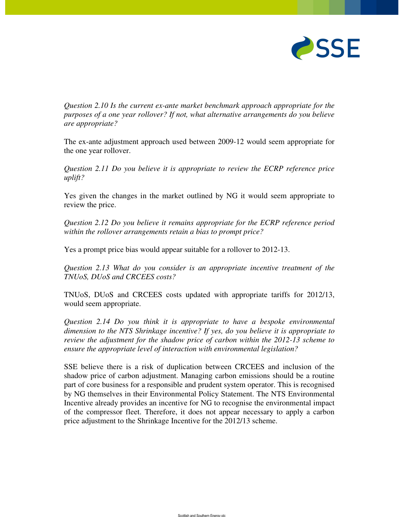

*Question 2.10 Is the current ex-ante market benchmark approach appropriate for the purposes of a one year rollover? If not, what alternative arrangements do you believe are appropriate?* 

The ex-ante adjustment approach used between 2009-12 would seem appropriate for the one year rollover.

*Question 2.11 Do you believe it is appropriate to review the ECRP reference price uplift?* 

Yes given the changes in the market outlined by NG it would seem appropriate to review the price.

*Question 2.12 Do you believe it remains appropriate for the ECRP reference period within the rollover arrangements retain a bias to prompt price?* 

Yes a prompt price bias would appear suitable for a rollover to 2012-13.

*Question 2.13 What do you consider is an appropriate incentive treatment of the TNUoS, DUoS and CRCEES costs?* 

TNUoS, DUoS and CRCEES costs updated with appropriate tariffs for 2012/13, would seem appropriate.

*Question 2.14 Do you think it is appropriate to have a bespoke environmental dimension to the NTS Shrinkage incentive? If yes, do you believe it is appropriate to review the adjustment for the shadow price of carbon within the 2012-13 scheme to ensure the appropriate level of interaction with environmental legislation?* 

SSE believe there is a risk of duplication between CRCEES and inclusion of the shadow price of carbon adjustment. Managing carbon emissions should be a routine part of core business for a responsible and prudent system operator. This is recognised by NG themselves in their Environmental Policy Statement. The NTS Environmental Incentive already provides an incentive for NG to recognise the environmental impact of the compressor fleet. Therefore, it does not appear necessary to apply a carbon price adjustment to the Shrinkage Incentive for the 2012/13 scheme.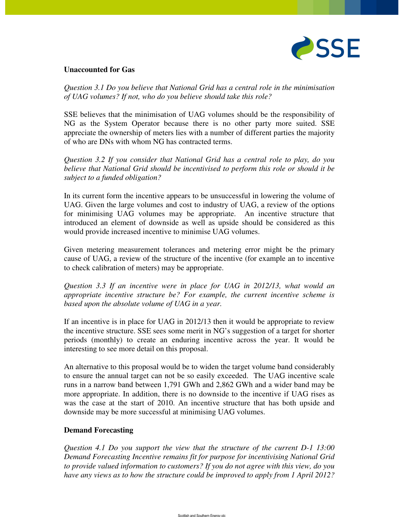

#### **Unaccounted for Gas**

*Question 3.1 Do you believe that National Grid has a central role in the minimisation of UAG volumes? If not, who do you believe should take this role?* 

SSE believes that the minimisation of UAG volumes should be the responsibility of NG as the System Operator because there is no other party more suited. SSE appreciate the ownership of meters lies with a number of different parties the majority of who are DNs with whom NG has contracted terms.

*Question 3.2 If you consider that National Grid has a central role to play, do you believe that National Grid should be incentivised to perform this role or should it be subject to a funded obligation?* 

In its current form the incentive appears to be unsuccessful in lowering the volume of UAG. Given the large volumes and cost to industry of UAG, a review of the options for minimising UAG volumes may be appropriate. An incentive structure that introduced an element of downside as well as upside should be considered as this would provide increased incentive to minimise UAG volumes.

Given metering measurement tolerances and metering error might be the primary cause of UAG, a review of the structure of the incentive (for example an to incentive to check calibration of meters) may be appropriate.

*Question 3.3 If an incentive were in place for UAG in 2012/13, what would an appropriate incentive structure be? For example, the current incentive scheme is based upon the absolute volume of UAG in a year.* 

If an incentive is in place for UAG in 2012/13 then it would be appropriate to review the incentive structure. SSE sees some merit in NG's suggestion of a target for shorter periods (monthly) to create an enduring incentive across the year. It would be interesting to see more detail on this proposal.

An alternative to this proposal would be to widen the target volume band considerably to ensure the annual target can not be so easily exceeded. The UAG incentive scale runs in a narrow band between 1,791 GWh and 2,862 GWh and a wider band may be more appropriate. In addition, there is no downside to the incentive if UAG rises as was the case at the start of 2010. An incentive structure that has both upside and downside may be more successful at minimising UAG volumes.

## **Demand Forecasting**

*Question 4.1 Do you support the view that the structure of the current D-1 13:00 Demand Forecasting Incentive remains fit for purpose for incentivising National Grid to provide valued information to customers? If you do not agree with this view, do you have any views as to how the structure could be improved to apply from 1 April 2012?*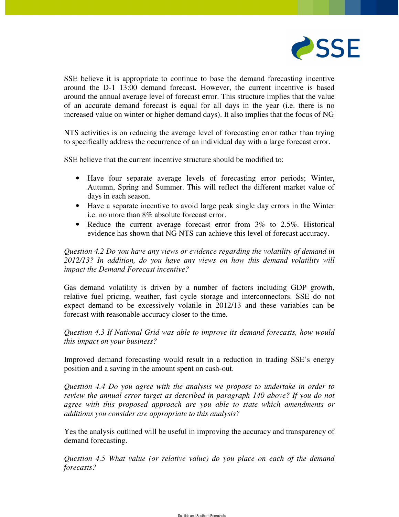

SSE believe it is appropriate to continue to base the demand forecasting incentive around the D-1 13:00 demand forecast. However, the current incentive is based around the annual average level of forecast error. This structure implies that the value of an accurate demand forecast is equal for all days in the year (i.e. there is no increased value on winter or higher demand days). It also implies that the focus of NG

NTS activities is on reducing the average level of forecasting error rather than trying to specifically address the occurrence of an individual day with a large forecast error.

SSE believe that the current incentive structure should be modified to:

- Have four separate average levels of forecasting error periods; Winter, Autumn, Spring and Summer. This will reflect the different market value of days in each season.
- Have a separate incentive to avoid large peak single day errors in the Winter i.e. no more than 8% absolute forecast error.
- Reduce the current average forecast error from 3% to 2.5%. Historical evidence has shown that NG NTS can achieve this level of forecast accuracy.

*Question 4.2 Do you have any views or evidence regarding the volatility of demand in 2012/13? In addition, do you have any views on how this demand volatility will impact the Demand Forecast incentive?* 

Gas demand volatility is driven by a number of factors including GDP growth, relative fuel pricing, weather, fast cycle storage and interconnectors. SSE do not expect demand to be excessively volatile in 2012/13 and these variables can be forecast with reasonable accuracy closer to the time.

*Question 4.3 If National Grid was able to improve its demand forecasts, how would this impact on your business?* 

Improved demand forecasting would result in a reduction in trading SSE's energy position and a saving in the amount spent on cash-out.

*Question 4.4 Do you agree with the analysis we propose to undertake in order to review the annual error target as described in paragraph 140 above? If you do not agree with this proposed approach are you able to state which amendments or additions you consider are appropriate to this analysis?* 

Yes the analysis outlined will be useful in improving the accuracy and transparency of demand forecasting.

*Question 4.5 What value (or relative value) do you place on each of the demand forecasts?*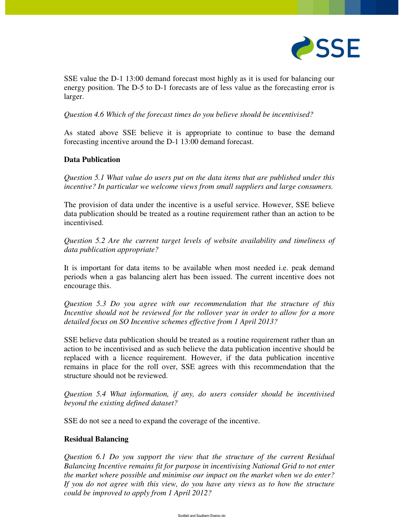

SSE value the D-1 13:00 demand forecast most highly as it is used for balancing our energy position. The D-5 to D-1 forecasts are of less value as the forecasting error is larger.

*Question 4.6 Which of the forecast times do you believe should be incentivised?* 

As stated above SSE believe it is appropriate to continue to base the demand forecasting incentive around the D-1 13:00 demand forecast.

## **Data Publication**

*Question 5.1 What value do users put on the data items that are published under this incentive? In particular we welcome views from small suppliers and large consumers.*

The provision of data under the incentive is a useful service. However, SSE believe data publication should be treated as a routine requirement rather than an action to be incentivised.

*Question 5.2 Are the current target levels of website availability and timeliness of data publication appropriate?* 

It is important for data items to be available when most needed i.e. peak demand periods when a gas balancing alert has been issued. The current incentive does not encourage this.

*Question 5.3 Do you agree with our recommendation that the structure of this Incentive should not be reviewed for the rollover year in order to allow for a more detailed focus on SO Incentive schemes effective from 1 April 2013?* 

SSE believe data publication should be treated as a routine requirement rather than an action to be incentivised and as such believe the data publication incentive should be replaced with a licence requirement. However, if the data publication incentive remains in place for the roll over, SSE agrees with this recommendation that the structure should not be reviewed.

*Question 5.4 What information, if any, do users consider should be incentivised beyond the existing defined dataset?* 

SSE do not see a need to expand the coverage of the incentive.

#### **Residual Balancing**

*Question 6.1 Do you support the view that the structure of the current Residual Balancing Incentive remains fit for purpose in incentivising National Grid to not enter the market where possible and minimise our impact on the market when we do enter? If you do not agree with this view, do you have any views as to how the structure could be improved to apply from 1 April 2012?*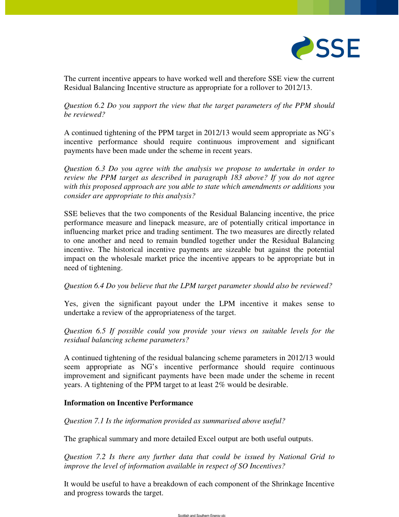

The current incentive appears to have worked well and therefore SSE view the current Residual Balancing Incentive structure as appropriate for a rollover to 2012/13.

*Question 6.2 Do you support the view that the target parameters of the PPM should be reviewed?* 

A continued tightening of the PPM target in 2012/13 would seem appropriate as NG's incentive performance should require continuous improvement and significant payments have been made under the scheme in recent years.

*Question 6.3 Do you agree with the analysis we propose to undertake in order to review the PPM target as described in paragraph 183 above? If you do not agree with this proposed approach are you able to state which amendments or additions you consider are appropriate to this analysis?* 

SSE believes that the two components of the Residual Balancing incentive, the price performance measure and linepack measure, are of potentially critical importance in influencing market price and trading sentiment. The two measures are directly related to one another and need to remain bundled together under the Residual Balancing incentive. The historical incentive payments are sizeable but against the potential impact on the wholesale market price the incentive appears to be appropriate but in need of tightening.

#### *Question 6.4 Do you believe that the LPM target parameter should also be reviewed?*

Yes, given the significant payout under the LPM incentive it makes sense to undertake a review of the appropriateness of the target.

*Question 6.5 If possible could you provide your views on suitable levels for the residual balancing scheme parameters?* 

A continued tightening of the residual balancing scheme parameters in 2012/13 would seem appropriate as NG's incentive performance should require continuous improvement and significant payments have been made under the scheme in recent years. A tightening of the PPM target to at least 2% would be desirable.

## **Information on Incentive Performance**

*Question 7.1 Is the information provided as summarised above useful?* 

The graphical summary and more detailed Excel output are both useful outputs.

*Question 7.2 Is there any further data that could be issued by National Grid to improve the level of information available in respect of SO Incentives?* 

It would be useful to have a breakdown of each component of the Shrinkage Incentive and progress towards the target.